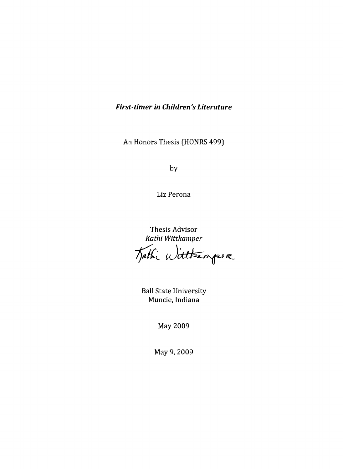## **First-timer in Children's Literature**

An Honors Thesis (HONRS 499)

by

Liz Perona

Thesis Advisor *Kathi Wittkamper* 

Tathi Wittsamper

Ball State University Muncie, Indiana

May 2009

May 9,2009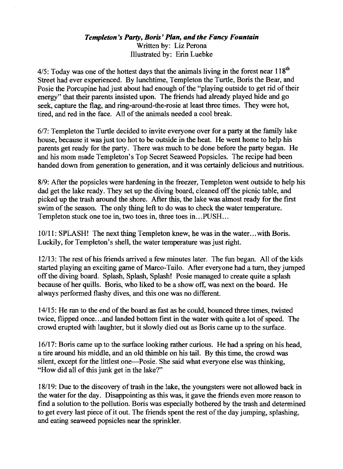### *Templeton's Party, Boris' Plan, and the Fancy Fountain*  Written by: Liz Perona Illustrated by: Erin Luebke

4/5: Today was one of the hottest days that the animals living in the forest near 118<sup>th</sup> Street had ever experienced. By lunchtime, Templeton the Turtle, Boris the Bear, and Posie the Porcupine had just about had enough of the "playing outside to get rid of their energy" that their parents insisted upon. The friends had already played hide and go seek, capture the flag, and ring-around-the-rosie at least three times. They were hot, tired, and red in the face. All of the animals needed a cool break.

*617:* Templeton the Turtle decided to invite everyone over for a party at the family lake house, because it was just too hot to be outside in the heat. He went home to help his parents get ready for the party. There was much to be done before the party began. He and his mom made Templeton's Top Secret Seaweed Popsicles. The recipe had been handed down from generation to generation, and it was certainly delicious and nutritious.

8/9: After the popsicles were hardening in the freezer, Templeton went outside to help his dad get the lake ready. They set up the diving board, cleaned off the picnic table, and picked up the trash around the shore. After this, the lake was almost ready for the first swim of the season. The only thing left to do was to check the water temperature. Templeton stuck one toe in, two toes in, three toes in... PUSH...

10/11: SPLASH! The next thing Templeton knew, he was in the water ... with Boris. Luckily, for Templeton's shell, the water temperature was just right

12/13: The rest of his friends arrived a few minutes later. The fun began. All of the kids started playing an exciting game of Marco-Tailo. After everyone had a turn, they jumped off the diving board. Splash, Splash, Splash! Posie managed to create quite a splash because of her quills. Boris, who liked to be a show off, was next on the board. He always performed flashy dives, and this one was no different.

*14115:* He ran to the end of the board as fast as he could, bounced three times, twisted twice, flipped once ... and landed bottom first in the water with quite a lot of speed. The crowd erupted with laughter, but it slowly died out as Boris came up to the surface.

16/17: Boris came up to the surface looking rather curious. He had a spring on his head, a tire around his middle, and an old thimble on his tail. By this time, the crowd was silent, except for the littlest one-Posie. She said what everyone else was thinking, "How did all of this junk get in the lake?"

18/19: Due to the discovery of trash in the lake, the youngsters were not allowed back in the water for the day. Disappointing as this was, it gave the friends even more reason to find a solution to the pollution. Boris was especially bothered by the trash and determined to get every last piece of it out. The friends spent the rest of the day jumping, splashing, and eating seaweed popsicles near the sprinkler.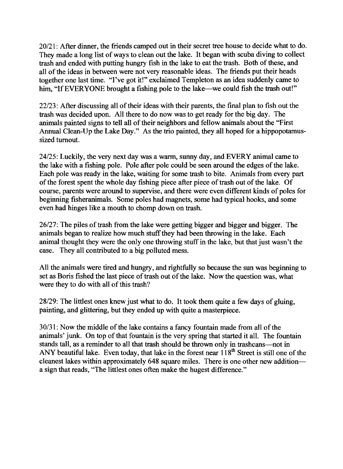*20/21:* After dinner, the friends camped out in their secret tree house to decide what to do. They made a long list of ways to clean out the lake. It began with scuba diving to collect trash and ended with putting hungry fish in the lake to eat the trash. Both of these, and all of the ideas in between were not very reasonable ideas. The friends put their heads together one last time. "I've got it!" exclaimed Templeton as an idea suddenly came to him, "If EVERYONE brought a fishing pole to the lake—we could fish the trash out!"

*22/23:* After discussing all of their ideas with their parents, the final plan to fish out the trash was decided upon. All there to do now was to get ready for the big day. The animals painted signs to tell all of their neighbors and fellow animals about the "First Annual Clean-Up the Lake Day." As the trio painted, they all hoped for a hippopotamussized turnout.

*24/25:* Luckily, the very next day was a warm, sunny day, and EVERY animal came to the lake with a fishing pole. Pole after pole could be seen around the edges of the lake. Each pole was ready in the lake, waiting for some trash to bite. Animals from every part of the forest spent the whole day fishing piece after piece of trash out of the lake. Of course, parents were around to supervise, and there were even different kinds of poles for beginning fisheranimals. Some poles had magnets, some had typical hooks, and some even had hinges like a mouth to chomp down on trash.

*26/27:* The piles of trash from the lake were getting bigger and bigger and bigger. The animals began to realize how much stuff they had been throwing in the lake. Each animal thought they were the only one throwing stuff in the lake, but that just wasn't the case. They all contributed to a big polluted mess.

All the animals were tired and hungry, and rightfully so because the sun was beginning to set as Boris fished the last piece of trash out of the lake. Now the question was, what were they to do with all of this trash?

*28/29:* The littlest ones knew just what to do. It took them quite a few days of gluing, painting, and glittering, but they ended up with quite a masterpiece.

*30/31:* Now the middle of the lake contains a fancy fountain made from all of the animals' junk. On top of that fountain is the very spring that started it all. The fountain stands tall, as a reminder to all that trash should be thrown only in trashcans-not in ANY beautiful lake. Even today, that lake in the forest near  $118<sup>th</sup>$  Street is still one of the cleanest lakes within approximately 648 square miles. There is one other new additiona sign that reads, "The littlest ones often make the hugest difference."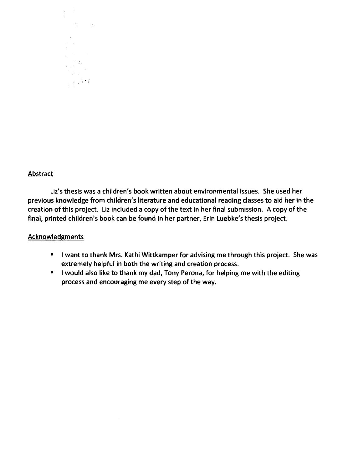

#### Abstract

Liz's thesis was a children's book written about environmental issues. She used her previous knowledge from children's literature and educational reading classes to aid her in the creation of this project. Liz included a copy of the text in her final submission. A copy of the final, printed children's book can be found in her partner, Erin Luebke's thesis project.

#### Acknowledgments

- I want to thank Mrs. Kathi Wittkamper for advising me through this project. She was extremely helpful in both the writing and creation process.
- I would also like to thank my dad, Tony Perona, for helping me with the editing process and encouraging me every step of the way.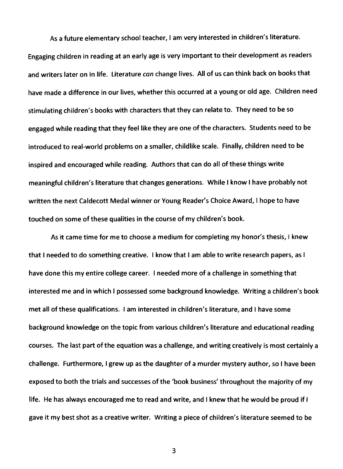As a future elementary school teacher, I am very interested in children's literature. Engaging children in reading at an early age is very important to their development as readers and writers later on in life. Literature *can* change lives. All of us can think back on books that have made a difference in our lives, whether this occurred at a young or old age. Children need stimulating children's books with characters that they can relate to. They need to be so engaged while reading that they feel like they are one of the characters. Students need to be introduced to real-world problems on a smaller, childlike scale. Finally, children need to be inspired and encouraged while reading. Authors that can do all of these things write meaningful children's literature that changes generations. While I know I have probably not written the next Caldecott Medal winner or Young Reader's Choice Award, I hope to have touched on some of these qualities in the course of my children's book.

As it came time for me to choose a medium for completing my honor's thesis, I knew that I needed to do something creative. I know that I am able to write research papers, as I have done this my entire college career. I needed more of a challenge in something that interested me and in which I possessed some background knowledge. Writing a children's book met all of these qualifications. I am interested in children's literature, and I have some background knowledge on the topic from various children's literature and educational reading courses. The last part of the equation was a challenge, and writing creatively is most certainly a challenge. Furthermore, I grew up as the daughter of a murder mystery author, so I have been exposed to both the trials and successes of the 'book business' throughout the majority of my life. He has always encouraged me to read and write, and I knew that he would be proud if I gave it my best shot as a creative writer. Writing a piece of children's literature seemed to be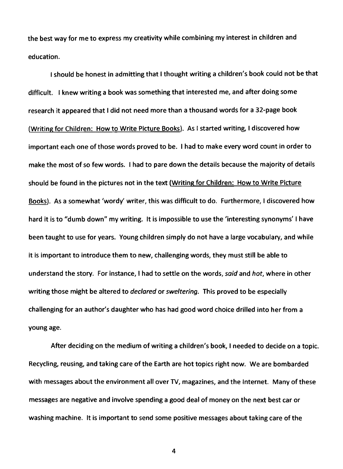the best way for me to express my creativity while combining my interest in children and education.

I should be honest in admitting that I thought writing a children's book could not be that difficult. I knew writing a book was something that interested me, and after doing some research it appeared that I did not need more than a thousand words for a 32-page book (Writing for Children: How to Write Picture Books). As I started writing, I discovered how important each one of those words proved to be. I had to make every word count in order to make the most of so few words. I had to pare down the details because the majority of details should be found in the pictures not in the text (Writing for Children: How to Write Picture Books). As a somewhat 'wordy' writer, this was difficult to do. Furthermore, I discovered how hard it is to "dumb down" my writing. It is impossible to use the 'interesting synonyms' I have been taught to use for years. Young children simply do not have a large vocabulary, and while it is important to introduce them to new, challenging words, they must still be able to understand the story. For instance, I had to settle on the words, said and hot, where in other writing those might be altered to declared or sweltering. This proved to be especially challenging for an author's daughter who has had good word choice drilled into her from a young age.

After deciding on the medium of writing a children's book, I needed to decide on a topic. Recycling, reusing, and taking care of the Earth are hot topics right now. We are bombarded with messages about the environment all over TV, magazines, and the Internet. Many of these messages are negative and involve spending a good deal of money on the next best car or washing machine. It is important to send some positive messages about taking care of the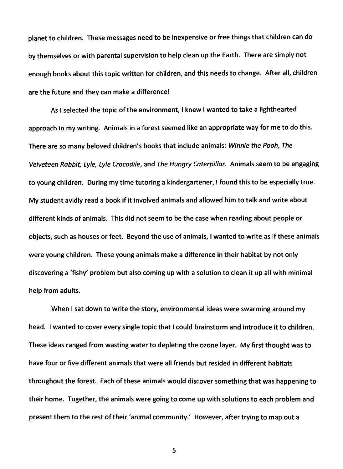planet to children. These messages need to be inexpensive or free things that children can do by themselves or with parental supervision to help clean up the Earth. There are simply not enough books about this topic written for children, and this needs to change. After all, children are the future and they can make a difference!

As I selected the topic of the environment, I knew I wanted to take a lighthearted approach in my writing. Animals in a forest seemed like an appropriate way for me to do this. There are so many beloved children's books that include animals: Winnie the Pooh, The Velveteen Rabbit, Lyle, Lyle Crocodile, and The Hungry Caterpillar. Animals seem to be engaging to young children. During my time tutoring a kindergartener, I found this to be especially true. My student avidly read a book if it involved animals and allowed him to talk and write about different kinds of animals. This did not seem to be the case when reading about people or objects, such as houses or feet. Beyond the use of animals, I wanted to write as if these animals were young children. These young animals make a difference in their habitat by not only discovering a 'fishy' problem but also coming up with a solution to clean it up all with minimal help from adults.

When I sat down to write the story, environmental ideas were swarming around my head. I wanted to cover every single topic that I could brainstorm and introduce it to children. These ideas ranged from wasting water to depleting the ozone layer. My first thought was to have four or five different animals that were all friends but resided in different habitats throughout the forest. Each of these animals would discover something that was happening to their home. Together, the animals were going to come up with solutions to each problem and present them to the rest of their 'animal community.' However, after trying to map out a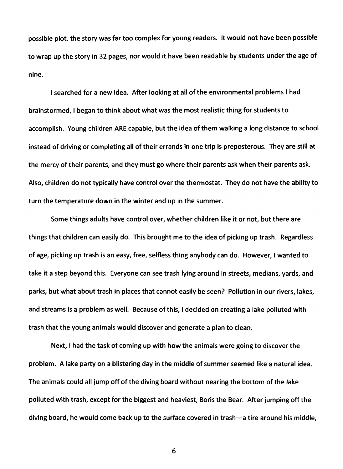possible plot, the story was far too complex for young readers. It would not have been possible to wrap up the story in 32 pages, nor would it have been readable by students under the age of nine.

I searched for a new idea. After looking at all of the environmental problems I had brainstormed, I began to think about what was the most realistic thing for students to accomplish. Young children ARE capable, but the idea of them walking a long distance to school instead of driving or completing all of their errands in one trip is preposterous. They are still at the mercy of their parents, and they must go where their parents ask when their parents ask. Also, children do not typically have control over the thermostat. They do not have the ability to turn the temperature down in the winter and up in the summer.

Some things adults have control over, whether children like it or not, but there are things that children can easily do. This brought me to the idea of picking up trash. Regardless of age, picking up trash is an easy, free, selfless thing anybody can do. However, I wanted to take it a step beyond this. Everyone can see trash lying around in streets, medians, yards, and parks, but what about trash in places that cannot easily be seen? Pollution in our rivers, lakes, and streams is a problem as well. Because of this, I decided on creating a lake polluted with trash that the young animals would discover and generate a plan to clean.

Next, I had the task of coming up with how the animals were going to discover the problem. A lake party on a blistering day in the middle of summer seemed like a natural idea. The animals could all jump off of the diving board without nearing the bottom of the lake polluted with trash, except for the biggest and heaviest, Boris the Bear. After jumping off the diving board, he would come back up to the surface covered in trash-a tire around his middle,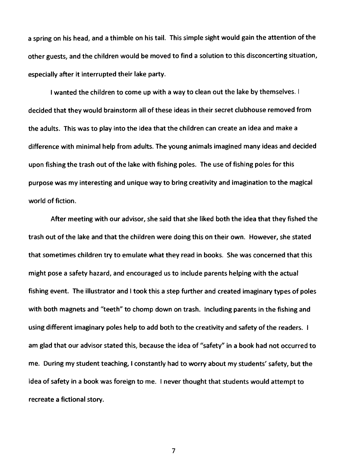a spring on his head, and a thimble on his tail. This simple sight would gain the attention of the other guests, and the children would be moved to find a solution to this disconcerting situation, especially after it interrupted their lake party.

I wanted the children to come up with a way to clean out the lake by themselves. I decided that they would brainstorm all of these ideas in their secret clubhouse removed from the adults. This was to play into the idea that the children can create an idea and make a difference with minimal help from adults. The young animals imagined many ideas and decided upon fishing the trash out of the lake with fishing poles. The use of fishing poles for this purpose was my interesting and unique way to bring creativity and imagination to the magical world of fiction.

After meeting with our advisor, she said that she liked both the idea that they fished the trash out of the lake and that the children were doing this on their own. However, she stated that sometimes children try to emulate what they read in books. She was concerned that this might pose a safety hazard, and encouraged us to include parents helping with the actual fishing event. The illustrator and I took this a step further and created imaginary types of poles with both magnets and "teeth" to chomp down on trash. Including parents in the fishing and using different imaginary poles help to add both to the creativity and safety of the readers. I am glad that our advisor stated this, because the idea of "safety" in a book had not occurred to me. During my student teaching, I constantly had to worry about my students' safety, but the idea of safety in a book was foreign to me. I never thought that students would attempt to recreate a fictional story.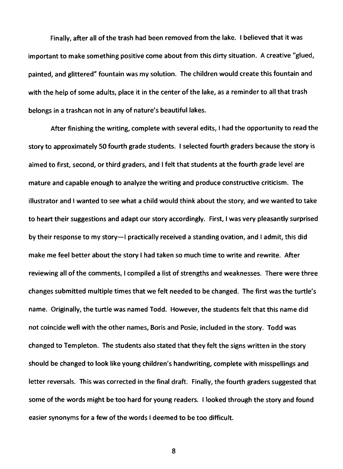Finally, after all of the trash had been removed from the lake. I believed that it was important to make something positive come about from this dirty situation. A creative "glued, painted, and glittered" fountain was my solution. The children would create this fountain and with the help of some adults, place it in the center of the lake, as a reminder to all that trash belongs in a trashcan not in any of nature's beautiful lakes.

After finishing the writing, complete with several edits, I had the opportunity to read the story to approximately 50 fourth grade students. I selected fourth graders because the story is aimed to first, second, or third graders, and I felt that students at the fourth grade level are mature and capable enough to analyze the writing and produce constructive criticism. The illustrator and I wanted to see what a child would think about the story, and we wanted to take to heart their suggestions and adapt our story accordingly. First, I was very pleasantly surprised by their response to my story-I practically received a standing ovation, and I admit, this did make me feel better about the story I had taken so much time to write and rewrite. After reviewing all of the comments, I compiled a list of strengths and weaknesses. There were three changes submitted multiple times that we felt needed to be changed. The first was the turtle's name. Originally, the turtle was named Todd. However, the students felt that this name did not coincide well with the other names, Boris and Posie, included in the story. Todd was changed to Templeton. The students also stated that they felt the signs written in the story should be changed to look like young children's handwriting, complete with misspellings and letter reversals. This was corrected in the final draft. Finally, the fourth graders suggested that some of the words might be too hard for young readers. I looked through the story and found easier synonyms for a few of the words I deemed to be too difficult.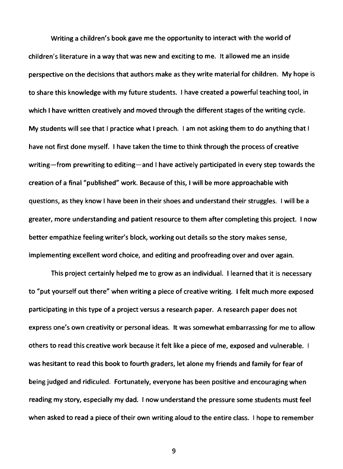Writing a children's book gave me the opportunity to interact with the world of children's literature in a way that was new and exciting to me. It allowed me an inside perspective on the decisions that authors make as they write material for children. My hope is to share this knowledge with my future students. I have created a powerful teaching tool, in which I have written creatively and moved through the different stages of the writing cycle. My students will see that I practice what I preach. I am not asking them to do anything that I have not first done myself. I have taken the time to think through the process of creative writing-from prewriting to editing-and I have actively participated in every step towards the creation of a final "published" work. Because of this, I will be more approachable with questions, as they know I have been in their shoes and understand their struggles. I will be a greater, more understanding and patient resource to them after completing this project. I now better empathize feeling writer's block, working out details so the story makes sense, implementing excellent word choice, and editing and proofreading over and over again.

This project certainly helped me to grow as an individual. I learned that it is necessary to "put yourself out there" when writing a piece of creative writing. I felt much more exposed participating in this type of a project versus a research paper. A research paper does not express one's own creativity or personal ideas. It was somewhat embarrassing for me to allow others to read this creative work because it felt like a piece of me, exposed and vulnerable. was hesitant to read this book to fourth graders, let alone my friends and family for fear of being judged and ridiculed. Fortunately, everyone has been positive and encouraging when reading my story, especially my dad. I now understand the pressure some students must feel when asked to read a piece of their own writing aloud to the entire class. I hope to remember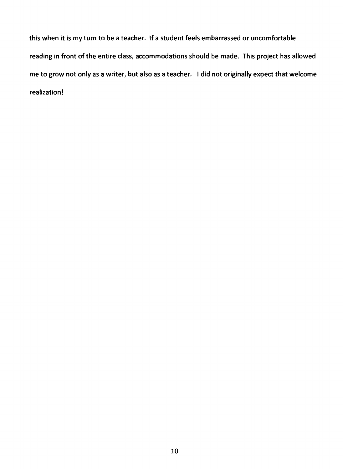this when it is my turn to be a teacher. If a student feels embarrassed or uncomfortable reading in front of the entire class, accommodations should be made. This project has allowed me to grow not only as a writer, but also as a teacher. I did not originally expect that welcome realization!